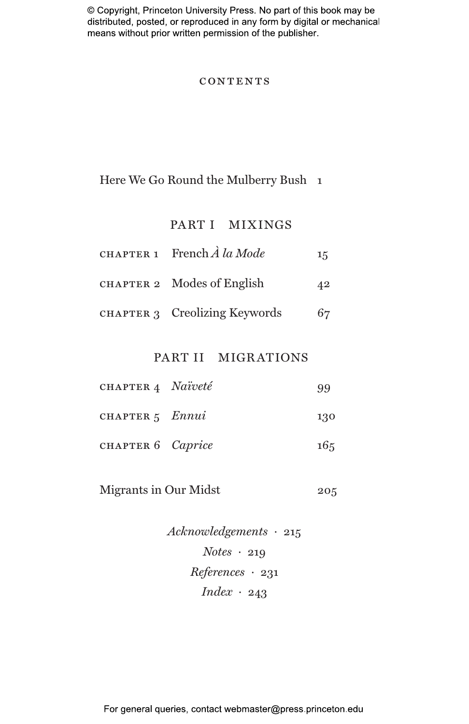## CONTENTS

## Here We Go Round the Mulberry Bush 1

## PART I MIXINGS

| CHAPTER 1 French $\hat{A}$ la Mode | 15 |
|------------------------------------|----|
| CHAPTER 2 Modes of English         | 42 |
| CHAPTER 3 Creolizing Keywords      | 67 |

# PART II MIGRATIONS

| CHAPTER 4 Naïveté        | .99 |
|--------------------------|-----|
| CHAPTER $5$ <i>Ennui</i> | 130 |
| CHAPTER 6 Caprice        | 165 |

Migrants in Our Midst 205

*Acknowledgements ·* 215 *Notes ·* 219 *References ·* 231 *Index ·* 243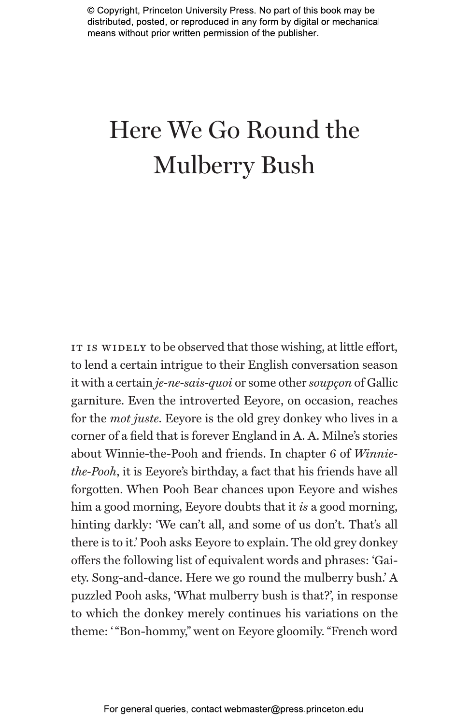# Here We Go Round the Mulberry Bush

IT IS WIDELY to be observed that those wishing, at little effort, to lend a certain intrigue to their English conversation season it with a certain *je-ne-sais-quoi* or some other *soupçon* of Gallic garniture. Even the introverted Eeyore, on occasion, reaches for the *mot juste*. Eeyore is the old grey donkey who lives in a corner of a field that is forever England in A. A. Milne's stories about Winnie-the-Pooh and friends. In chapter 6 of *Winniethe-Pooh*, it is Eeyore's birthday, a fact that his friends have all forgotten. When Pooh Bear chances upon Eeyore and wishes him a good morning, Eeyore doubts that it *is* a good morning, hinting darkly: 'We can't all, and some of us don't. That's all there is to it.' Pooh asks Eeyore to explain. The old grey donkey offers the following list of equivalent words and phrases: 'Gaiety. Song-and-dance. Here we go round the mulberry bush.' A puzzled Pooh asks, 'What mulberry bush is that?', in response to which the donkey merely continues his variations on the theme: ' "Bon-hommy," went on Eeyore gloomily. "French word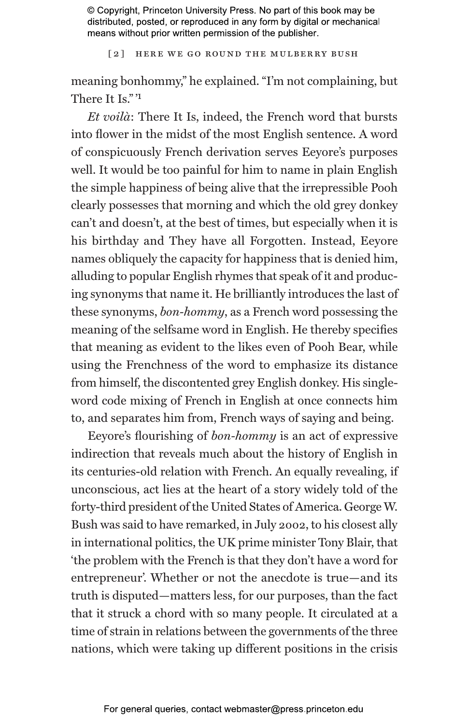[ 2 ] Here We Go Round the Mulberry Bush

meaning bonhommy," he explained. "I'm not complaining, but There It Is." '1

*Et voilà*: There It Is, indeed, the French word that bursts into flower in the midst of the most English sentence. A word of conspicuously French derivation serves Eeyore's purposes well. It would be too painful for him to name in plain English the simple happiness of being alive that the irrepressible Pooh clearly possesses that morning and which the old grey donkey can't and doesn't, at the best of times, but especially when it is his birthday and They have all Forgotten. Instead, Eeyore names obliquely the capacity for happiness that is denied him, alluding to popular English rhymes that speak of it and producing synonyms that name it. He brilliantly introduces the last of these synonyms, *bon-hommy*, as a French word possessing the meaning of the selfsame word in English. He thereby specifies that meaning as evident to the likes even of Pooh Bear, while using the Frenchness of the word to emphasize its distance from himself, the discontented grey English donkey. His singleword code mixing of French in English at once connects him to, and separates him from, French ways of saying and being.

Eeyore's flourishing of *bon-hommy* is an act of expressive indirection that reveals much about the history of English in its centuries-old relation with French. An equally revealing, if unconscious, act lies at the heart of a story widely told of the forty-third president of the United States of America. George W. Bush was said to have remarked, in July 2002, to his closest ally in international politics, the UK prime minister Tony Blair, that 'the problem with the French is that they don't have a word for entrepreneur'. Whether or not the anecdote is true—and its truth is disputed—matters less, for our purposes, than the fact that it struck a chord with so many people. It circulated at a time of strain in relations between the governments of the three nations, which were taking up different positions in the crisis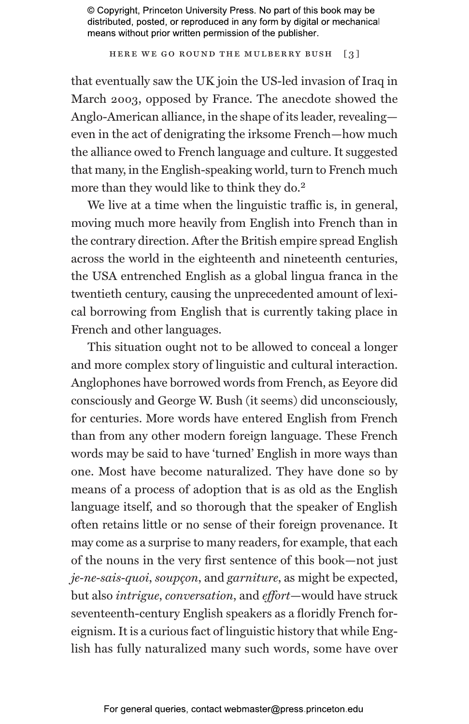HERE WE GO ROUND THE MULBERRY BUSH [3]

that eventually saw the UK join the US-led invasion of Iraq in March 2003, opposed by France. The anecdote showed the Anglo-American alliance, in the shape of its leader, revealing even in the act of denigrating the irksome French—how much the alliance owed to French language and culture. It suggested that many, in the English-speaking world, turn to French much more than they would like to think they do.2

We live at a time when the linguistic traffic is, in general, moving much more heavily from English into French than in the contrary direction. After the British empire spread English across the world in the eighteenth and nineteenth centuries, the USA entrenched English as a global lingua franca in the twentieth century, causing the unprecedented amount of lexical borrowing from English that is currently taking place in French and other languages.

This situation ought not to be allowed to conceal a longer and more complex story of linguistic and cultural interaction. Anglophones have borrowed words from French, as Eeyore did consciously and George W. Bush (it seems) did unconsciously, for centuries. More words have entered English from French than from any other modern foreign language. These French words may be said to have 'turned' English in more ways than one. Most have become naturalized. They have done so by means of a process of adoption that is as old as the English language itself, and so thorough that the speaker of English often retains little or no sense of their foreign provenance. It may come as a surprise to many readers, for example, that each of the nouns in the very first sentence of this book—not just *je-ne-sais-quoi*, *soupçon*, and *garniture*, as might be expected, but also *intrigue*, *conversation*, and *effort*—would have struck seventeenth-century English speakers as a floridly French foreignism. It is a curious fact of linguistic history that while English has fully naturalized many such words, some have over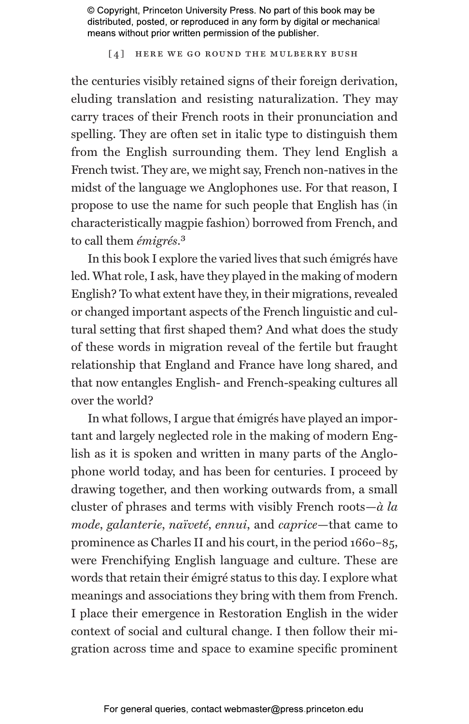#### [ 4 ] Here We Go Round the Mulberry Bush

the centuries visibly retained signs of their foreign derivation, eluding translation and resisting naturalization. They may carry traces of their French roots in their pronunciation and spelling. They are often set in italic type to distinguish them from the English surrounding them. They lend English a French twist. They are, we might say, French non-natives in the midst of the language we Anglophones use. For that reason, I propose to use the name for such people that English has (in characteristically magpie fashion) borrowed from French, and to call them *émigrés*.3

In this book I explore the varied lives that such émigrés have led. What role, I ask, have they played in the making of modern English? To what extent have they, in their migrations, revealed or changed important aspects of the French linguistic and cultural setting that first shaped them? And what does the study of these words in migration reveal of the fertile but fraught relationship that England and France have long shared, and that now entangles English- and French-speaking cultures all over the world?

In what follows, I argue that émigrés have played an important and largely neglected role in the making of modern English as it is spoken and written in many parts of the Anglophone world today, and has been for centuries. I proceed by drawing together, and then working outwards from, a small cluster of phrases and terms with visibly French roots—*à la mode*, *galanterie*, *naïveté*, *ennui*, and *caprice*—that came to prominence as Charles II and his court, in the period 1660–85, were Frenchifying English language and culture. These are words that retain their émigré status to this day. I explore what meanings and associations they bring with them from French. I place their emergence in Restoration English in the wider context of social and cultural change. I then follow their migration across time and space to examine specific prominent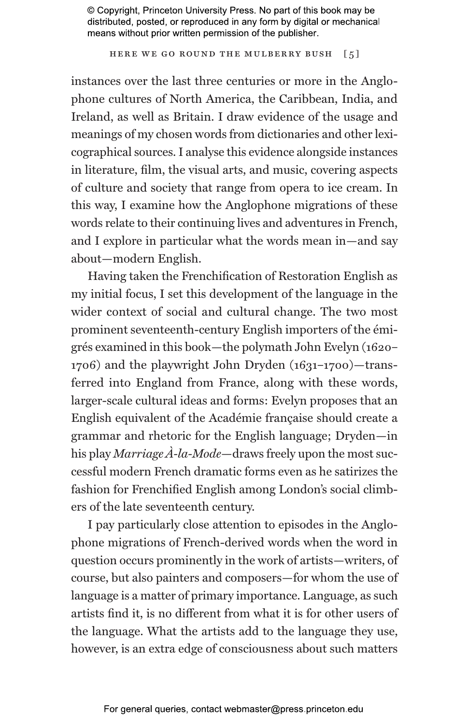#### HERE WE GO ROUND THE MULBERRY BUSH [5]

instances over the last three centuries or more in the Anglophone cultures of North America, the Caribbean, India, and Ireland, as well as Britain. I draw evidence of the usage and meanings of my chosen words from dictionaries and other lexicographical sources. I analyse this evidence alongside instances in literature, film, the visual arts, and music, covering aspects of culture and society that range from opera to ice cream. In this way, I examine how the Anglophone migrations of these words relate to their continuing lives and adventures in French, and I explore in particular what the words mean in—and say about—modern English.

Having taken the Frenchification of Restoration English as my initial focus, I set this development of the language in the wider context of social and cultural change. The two most prominent seventeenth-century English importers of the émigrés examined in this book—the polymath John Evelyn (1620– 1706) and the playwright John Dryden (1631–1700)—transferred into England from France, along with these words, larger-scale cultural ideas and forms: Evelyn proposes that an English equivalent of the Académie française should create a grammar and rhetoric for the English language; Dryden—in his play *Marriage À-la-Mode*—draws freely upon the most successful modern French dramatic forms even as he satirizes the fashion for Frenchified English among London's social climbers of the late seventeenth century.

I pay particularly close attention to episodes in the Anglophone migrations of French-derived words when the word in question occurs prominently in the work of artists—writers, of course, but also painters and composers—for whom the use of language is a matter of primary importance. Language, as such artists find it, is no different from what it is for other users of the language. What the artists add to the language they use, however, is an extra edge of consciousness about such matters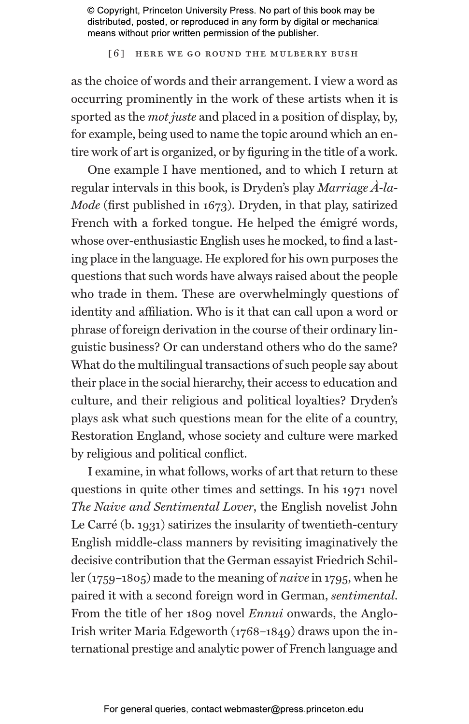#### [ 6 ] Here We Go Round the Mulberry Bush

as the choice of words and their arrangement. I view a word as occurring prominently in the work of these artists when it is sported as the *mot juste* and placed in a position of display, by, for example, being used to name the topic around which an entire work of art is organized, or by figuring in the title of a work.

One example I have mentioned, and to which I return at regular intervals in this book, is Dryden's play *Marriage À-la-Mode* (first published in 1673). Dryden, in that play, satirized French with a forked tongue. He helped the émigré words, whose over-enthusiastic English uses he mocked, to find a lasting place in the language. He explored for his own purposes the questions that such words have always raised about the people who trade in them. These are overwhelmingly questions of identity and affiliation. Who is it that can call upon a word or phrase of foreign derivation in the course of their ordinary linguistic business? Or can understand others who do the same? What do the multilingual transactions of such people say about their place in the social hierarchy, their access to education and culture, and their religious and political loyalties? Dryden's plays ask what such questions mean for the elite of a country, Restoration England, whose society and culture were marked by religious and political conflict.

I examine, in what follows, works of art that return to these questions in quite other times and settings. In his 1971 novel *The Naive and Sentimental Lover*, the English novelist John Le Carré (b. 1931) satirizes the insularity of twentieth-century English middle-class manners by revisiting imaginatively the decisive contribution that the German essayist Friedrich Schiller (1759–1805) made to the meaning of *naive* in 1795, when he paired it with a second foreign word in German, *sentimental*. From the title of her 1809 novel *Ennui* onwards, the Anglo-Irish writer Maria Edgeworth (1768–1849) draws upon the international prestige and analytic power of French language and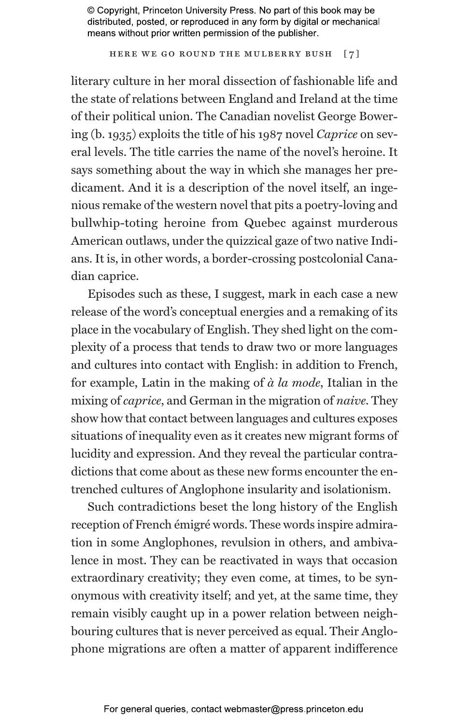Here We Go Round the Mulberry Bush [ 7 ]

literary culture in her moral dissection of fashionable life and the state of relations between England and Ireland at the time of their political union. The Canadian novelist George Bowering (b. 1935) exploits the title of his 1987 novel *Caprice* on several levels. The title carries the name of the novel's heroine. It says something about the way in which she manages her predicament. And it is a description of the novel itself, an ingenious remake of the western novel that pits a poetry-loving and bullwhip-toting heroine from Quebec against murderous American outlaws, under the quizzical gaze of two native Indians. It is, in other words, a border-crossing postcolonial Canadian caprice.

Episodes such as these, I suggest, mark in each case a new release of the word's conceptual energies and a remaking of its place in the vocabulary of English. They shed light on the complexity of a process that tends to draw two or more languages and cultures into contact with English: in addition to French, for example, Latin in the making of *à la mode*, Italian in the mixing of *caprice*, and German in the migration of *naive*. They show how that contact between languages and cultures exposes situations of inequality even as it creates new migrant forms of lucidity and expression. And they reveal the particular contradictions that come about as these new forms encounter the entrenched cultures of Anglophone insularity and isolationism.

Such contradictions beset the long history of the English reception of French émigré words. These words inspire admiration in some Anglophones, revulsion in others, and ambivalence in most. They can be reactivated in ways that occasion extraordinary creativity; they even come, at times, to be synonymous with creativity itself; and yet, at the same time, they remain visibly caught up in a power relation between neighbouring cultures that is never perceived as equal. Their Anglophone migrations are often a matter of apparent indifference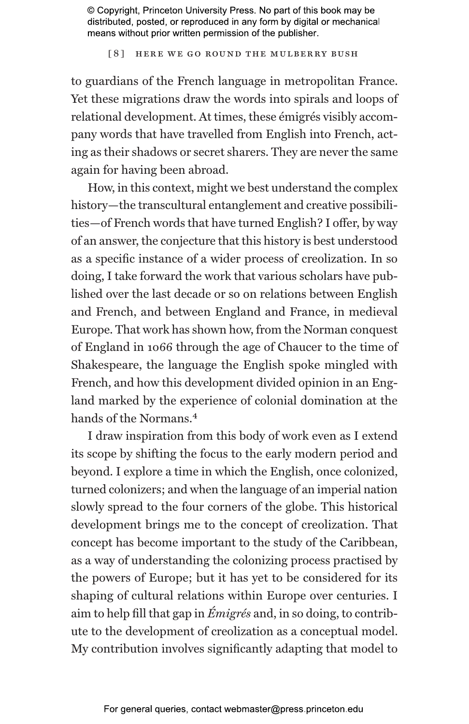#### [ 8 ] Here We Go Round the Mulberry Bush

to guardians of the French language in metropolitan France. Yet these migrations draw the words into spirals and loops of relational development. At times, these émigrés visibly accompany words that have travelled from English into French, acting as their shadows or secret sharers. They are never the same again for having been abroad.

How, in this context, might we best understand the complex history—the transcultural entanglement and creative possibilities—of French words that have turned English? I offer, by way of an answer, the conjecture that this history is best understood as a specific instance of a wider process of creolization. In so doing, I take forward the work that various scholars have published over the last decade or so on relations between English and French, and between England and France, in medieval Europe. That work has shown how, from the Norman conquest of England in 1066 through the age of Chaucer to the time of Shakespeare, the language the English spoke mingled with French, and how this development divided opinion in an England marked by the experience of colonial domination at the hands of the Normans.<sup>4</sup>

I draw inspiration from this body of work even as I extend its scope by shifting the focus to the early modern period and beyond. I explore a time in which the English, once colonized, turned colonizers; and when the language of an imperial nation slowly spread to the four corners of the globe. This historical development brings me to the concept of creolization. That concept has become important to the study of the Caribbean, as a way of understanding the colonizing process practised by the powers of Europe; but it has yet to be considered for its shaping of cultural relations within Europe over centuries. I aim to help fill that gap in *Émigrés* and, in so doing, to contribute to the development of creolization as a conceptual model. My contribution involves significantly adapting that model to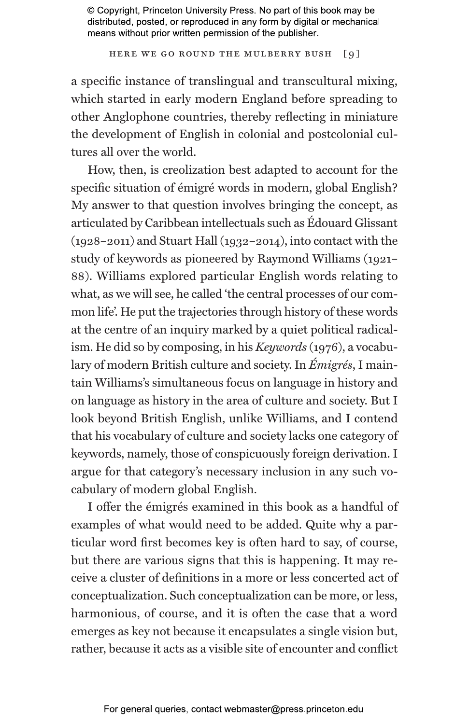HERE WE GO ROUND THE MULBERRY BUSH [9]

a specific instance of translingual and transcultural mixing, which started in early modern England before spreading to other Anglophone countries, thereby reflecting in miniature the development of English in colonial and postcolonial cultures all over the world.

How, then, is creolization best adapted to account for the specific situation of émigré words in modern, global English? My answer to that question involves bringing the concept, as articulated by Caribbean intellectuals such as Édouard Glissant (1928–2011) and Stuart Hall (1932–2014), into contact with the study of keywords as pioneered by Raymond Williams (1921– 88). Williams explored particular English words relating to what, as we will see, he called 'the central processes of our common life'. He put the trajectories through history of these words at the centre of an inquiry marked by a quiet political radicalism. He did so by composing, in his *Keywords* (1976), a vocabulary of modern British culture and society. In *Émigrés*, I maintain Williams's simultaneous focus on language in history and on language as history in the area of culture and society. But I look beyond British English, unlike Williams, and I contend that his vocabulary of culture and society lacks one category of keywords, namely, those of conspicuously foreign derivation. I argue for that category's necessary inclusion in any such vocabulary of modern global English.

I offer the émigrés examined in this book as a handful of examples of what would need to be added. Quite why a particular word first becomes key is often hard to say, of course, but there are various signs that this is happening. It may receive a cluster of definitions in a more or less concerted act of conceptualization. Such conceptualization can be more, or less, harmonious, of course, and it is often the case that a word emerges as key not because it encapsulates a single vision but, rather, because it acts as a visible site of encounter and conflict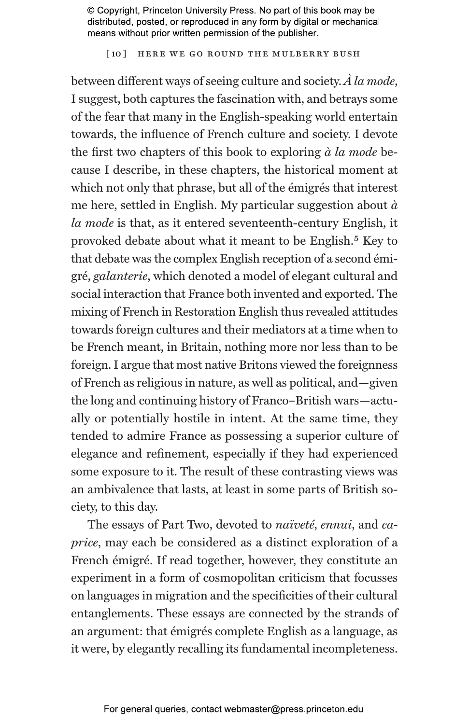[ 10 ] Here We Go Round the Mulberry Bush

between different ways of seeing culture and society. *À la mode*, I suggest, both captures the fascination with, and betrays some of the fear that many in the English-speaking world entertain towards, the influence of French culture and society. I devote the first two chapters of this book to exploring *à la mode* because I describe, in these chapters, the historical moment at which not only that phrase, but all of the émigrés that interest me here, settled in English. My particular suggestion about *à la mode* is that, as it entered seventeenth-century English, it provoked debate about what it meant to be English.5 Key to that debate was the complex English reception of a second émigré, *galanterie*, which denoted a model of elegant cultural and social interaction that France both invented and exported. The mixing of French in Restoration English thus revealed attitudes towards foreign cultures and their mediators at a time when to be French meant, in Britain, nothing more nor less than to be foreign. I argue that most native Britons viewed the foreignness of French as religious in nature, as well as political, and—given the long and continuing history of Franco–British wars—actually or potentially hostile in intent. At the same time, they tended to admire France as possessing a superior culture of elegance and refinement, especially if they had experienced some exposure to it. The result of these contrasting views was an ambivalence that lasts, at least in some parts of British society, to this day.

The essays of Part Two, devoted to *naïveté*, *ennui*, and *caprice*, may each be considered as a distinct exploration of a French émigré. If read together, however, they constitute an experiment in a form of cosmopolitan criticism that focusses on languages in migration and the specificities of their cultural entanglements. These essays are connected by the strands of an argument: that émigrés complete English as a language, as it were, by elegantly recalling its fundamental incompleteness.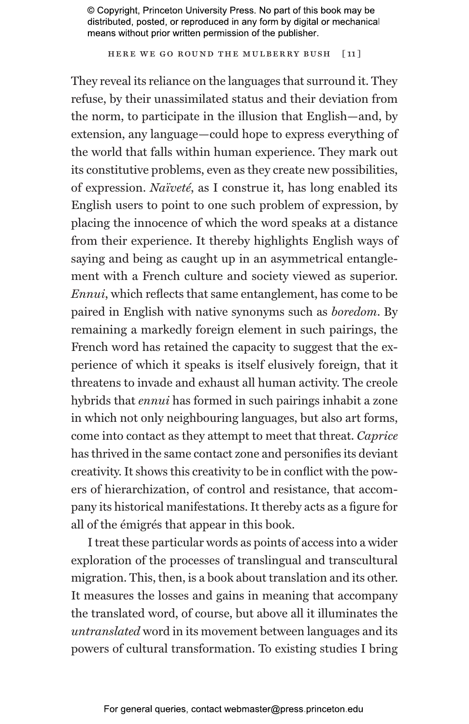Here We Go Round the Mulberry Bush [ 11 ]

They reveal its reliance on the languages that surround it. They refuse, by their unassimilated status and their deviation from the norm, to participate in the illusion that English—and, by extension, any language—could hope to express everything of the world that falls within human experience. They mark out its constitutive problems, even as they create new possibilities, of expression. *Naïveté*, as I construe it, has long enabled its English users to point to one such problem of expression, by placing the innocence of which the word speaks at a distance from their experience. It thereby highlights English ways of saying and being as caught up in an asymmetrical entanglement with a French culture and society viewed as superior. *Ennui*, which reflects that same entanglement, has come to be paired in English with native synonyms such as *boredom*. By remaining a markedly foreign element in such pairings, the French word has retained the capacity to suggest that the experience of which it speaks is itself elusively foreign, that it threatens to invade and exhaust all human activity. The creole hybrids that *ennui* has formed in such pairings inhabit a zone in which not only neighbouring languages, but also art forms, come into contact as they attempt to meet that threat. *Caprice* has thrived in the same contact zone and personifies its deviant creativity. It shows this creativity to be in conflict with the powers of hierarchization, of control and resistance, that accompany its historical manifestations. It thereby acts as a figure for all of the émigrés that appear in this book.

I treat these particular words as points of access into a wider exploration of the processes of translingual and transcultural migration. This, then, is a book about translation and its other. It measures the losses and gains in meaning that accompany the translated word, of course, but above all it illuminates the *untranslated* word in its movement between languages and its powers of cultural transformation. To existing studies I bring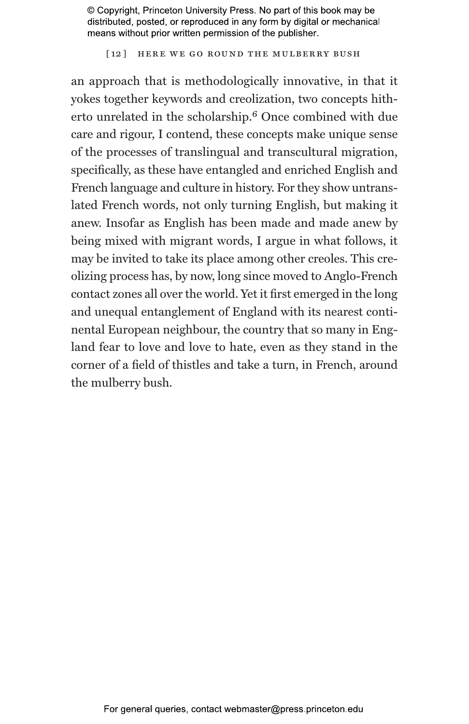[ 12 ] Here We Go Round the Mulberry Bush

an approach that is methodologically innovative, in that it yokes together keywords and creolization, two concepts hitherto unrelated in the scholarship.6 Once combined with due care and rigour, I contend, these concepts make unique sense of the processes of translingual and transcultural migration, specifically, as these have entangled and enriched English and French language and culture in history. For they show untranslated French words, not only turning English, but making it anew. Insofar as English has been made and made anew by being mixed with migrant words, I argue in what follows, it may be invited to take its place among other creoles. This creolizing process has, by now, long since moved to Anglo-French contact zones all over the world. Yet it first emerged in the long and unequal entanglement of England with its nearest continental European neighbour, the country that so many in England fear to love and love to hate, even as they stand in the corner of a field of thistles and take a turn, in French, around the mulberry bush.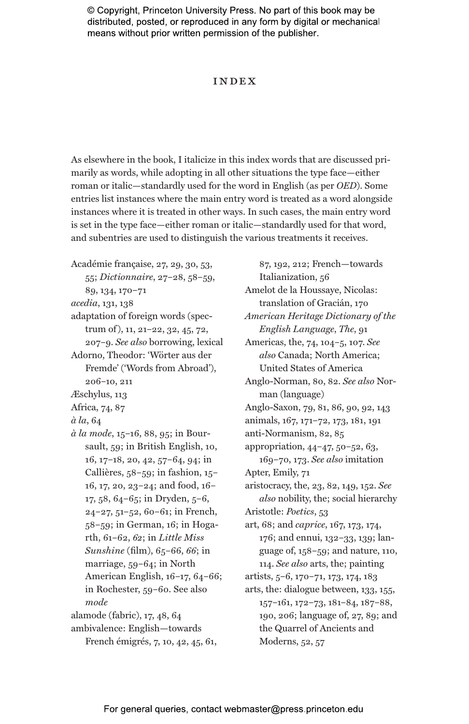#### **INDEX**

As elsewhere in the book, I italicize in this index words that are discussed primarily as words, while adopting in all other situations the type face—either roman or italic—standardly used for the word in English (as per *OED*). Some entries list instances where the main entry word is treated as a word alongside instances where it is treated in other ways. In such cases, the main entry word is set in the type face—either roman or italic—standardly used for that word, and subentries are used to distinguish the various treatments it receives.

Académie française, 27, 29, 30, 53, 55; *Dictionnaire*, 27–28, 58–59,

- *acedia*, 131, 138
- adaptation of foreign words (spectrum of), 11, 21–22, 32, 45, 72, 207–9. *See also* borrowing, lexical
- Adorno, Theodor: 'Wörter aus der Fremde' ('Words from Abroad'), 206–10, 211
- Æschylus, 113
- Africa, 74, 87
- *à la*, 64
- *à la mode*, 15–16, 88, 95; in Boursault, 59; in British English, 10, 16, 17–18, 20, 42, 57–64, 94; in Callières, 58–59; in fashion, 15– 16, 17, 20, 23–24; and food, 16– 17, 58, 64–65; in Dryden, 5–6, 24–27, 51–52, 60–61; in French, 58–59; in German, 16; in Hogarth, 61–62, *62*; in *Little Miss Sunshine* (film), 65–66, *66*; in marriage, 59–64; in North American English, 16–17, 64–66; in Rochester, 59–60. See also *mode* alamode (fabric), 17, 48, 64
- ambivalence: English—towards
	- French émigrés, 7, 10, 42, 45, 61,

87, 192, 212; French—towards Italianization, 56 Amelot de la Houssaye, Nicolas: translation of Gracián, 170 *American Heritage Dictionary of the English Language*, *The*, 91 Americas, the, 74, 104–5, 107. *See also* Canada; North America; United States of America Anglo-Norman, 80, 82. *See also* Norman (language) Anglo-Saxon, 79, 81, 86, 90, 92, 143 animals, 167, 171–72, 173, 181, 191 anti-Normanism, 82, 85 appropriation, 44–47, 50–52, 63, 169–70, 173. *See also* imitation Apter, Emily, 71 aristocracy, the, 23, 82, 149, 152. *See also* nobility, the; social hierarchy Aristotle: *Poetics*, 53 art, 68; and *caprice*, 167, 173, 174, 176; and ennui, 132–33, 139; language of, 158–59; and nature, 110, 114. *See also* arts, the; painting artists, 5–6, 170–71, 173, 174, 183 arts, the: dialogue between, 133, 155, 157–161, 172–73, 181–84, 187–88, 190, 206; language of, 27, 89; and the Quarrel of Ancients and Moderns, 52, 57

<sup>89, 134, 170–71</sup>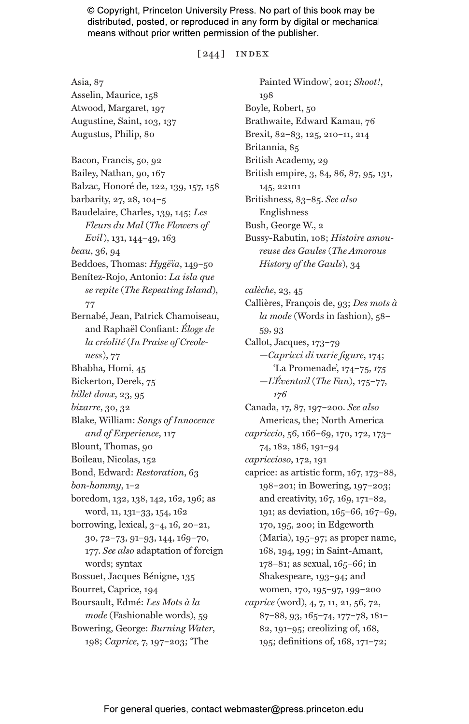### [ 244 ] Index

Asia, 87 Asselin, Maurice, 158 Atwood, Margaret, 197 Augustine, Saint, 103, 137 Augustus, Philip, 80 Bacon, Francis, 50, 92 Bailey, Nathan, 90, 167 Balzac, Honoré de, 122, 139, 157, 158 barbarity, 27, 28, 104–5 Baudelaire, Charles, 139, 145; *Les Fleurs du Mal* (*The Flowers of Evil*), 131, 144–49, 163 *beau*, 36, 94 Beddoes, Thomas: *Hygëïa*, 149–50 Benítez-Rojo, Antonio: *La isla que se repite* (*The Repeating Island*), 77 Bernabé, Jean, Patrick Chamoiseau, and Raphaël Confiant: *Éloge de la créolité* (*In Praise of Creoleness*), 77 Bhabha, Homi, 45 Bickerton, Derek, 75 *billet doux*, 23, 95 *bizarre*, 30, 32 Blake, William: *Songs of Innocence and of Experience*, 117 Blount, Thomas, 90 Boileau, Nicolas, 152 Bond, Edward: *Restoration*, 63 *bon-hommy*, 1–2 boredom, 132, 138, 142, 162, 196; as word, 11, 131–33, 154, 162 borrowing, lexical, 3–4, 16, 20–21, 30, 72–73, 91–93, 144, 169–70, 177. *See also* adaptation of foreign words; syntax Bossuet, Jacques Bénigne, 135 Bourret, Caprice, 194 Boursault, Edmé: *Les Mots à la mode* (Fashionable words), 59 Bowering, George: *Burning Water*, 198; *Caprice*, 7, 197–203; 'The

Painted Window', 201; *Shoot!*, 198 Boyle, Robert, 50 Brathwaite, Edward Kamau, 76 Brexit, 82–83, 125, 210–11, 214 Britannia, 85 British Academy, 29 British empire, 3, 84, 86, 87, 95, 131, 145, 221n1 Britishness, 83–85. *See also* Englishness Bush, George W., 2 Bussy-Rabutin, 108; *Histoire amoureuse des Gaules* (*The Amorous History of the Gauls*), 34 *calèche*, 23, 45 Callières, François de, 93; *Des mots à la mode* (Words in fashion), 58– 59, 93 Callot, Jacques, 173–79 —*Capricci di varie figure*, 174; 'La Promenade', 174–75, *175* —*L'Éventail* (*The Fan*), 175–77, *176* Canada, 17, 87, 197–200. *See also* Americas, the; North America *capriccio*, 56, 166–69, 170, 172, 173– 74, 182, 186, 191–94 *capriccioso*, 172, 191 caprice: as artistic form, 167, 173–88, 198–201; in Bowering, 197–203; and creativity, 167, 169, 171–82, 191; as deviation, 165–66, 167–69, 170, 195, 200; in Edgeworth (Maria), 195–97; as proper name, 168, 194, 199; in Saint-Amant, 178–81; as sexual, 165–66; in Shakespeare, 193–94; and women, 170, 195–97, 199–200 *caprice* (word), 4, 7, 11, 21, 56, 72, 87–88, 93, 165–74, 177–78, 181– 82, 191–95; creolizing of, 168, 195; definitions of, 168, 171–72;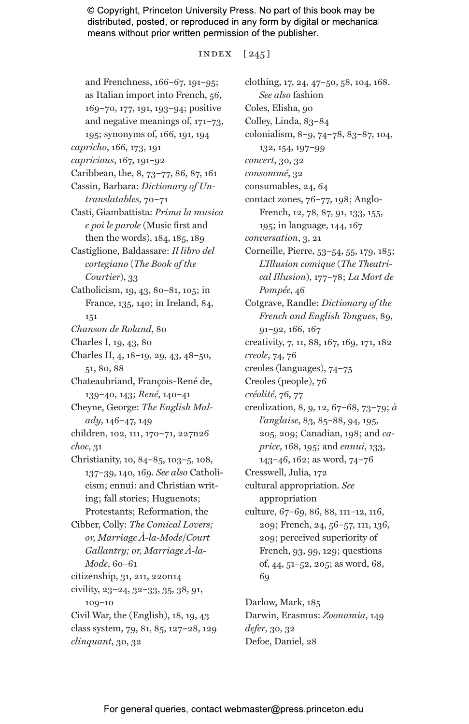Index [ 245 ]

and Frenchness, 166–67, 191–95; as Italian import into French, 56, 169–70, 177, 191, 193–94; positive and negative meanings of, 171–73, 195; synonyms of, 166, 191, 194 *capricho*, 166, 173, 191 *capricious*, 167, 191–92 Caribbean, the, 8, 73–77, 86, 87, 161 Cassin, Barbara: *Dictionary of Untranslatables*, 70–71 Casti, Giambattista: *Prima la musica e poi le parole* (Music first and then the words), 184, 185, 189 Castiglione, Baldassare: *Il libro del cortegiano* (*The Book of the Courtier*), 33 Catholicism, 19, 43, 80–81, 105; in France, 135, 140; in Ireland, 84, 151 *Chanson de Roland*, 80 Charles I, 19, 43, 80 Charles II, 4, 18–19, 29, 43, 48–50, 51, 80, 88 Chateaubriand, François-René de, 139–40, 143; *René*, 140–41 Cheyne, George: *The English Malady*, 146–47, 149 children, 102, 111, 170–71, 227n26 *choc*, 31 Christianity, 10, 84–85, 103–5, 108, 137–39, 140, 169. *See also* Catholicism; ennui: and Christian writing; fall stories; Huguenots; Protestants; Reformation, the Cibber, Colly: *The Comical Lovers; or, Marriage À-la-Mode*/*Court Gallantry; or, Marriage À-la-Mode*, 60–61 citizenship, 31, 211, 220n14 civility, 23–24, 32–33, 35, 38, 91, 109–10 Civil War, the (English), 18, 19, 43 class system, 79, 81, 85, 127–28, 129 *clinquant*, 30, 32

clothing, 17, 24, 47–50, 58, 104, 168. *See also* fashion Coles, Elisha, 90 Colley, Linda, 83–84 colonialism, 8–9, 74–78, 83–87, 104, 132, 154, 197–99 *concert*, 30, 32 *consommé*, 32 consumables, 24, 64 contact zones, 76–77, 198; Anglo-French, 12, 78, 87, 91, 133, 155, 195; in language, 144, 167 *conversation*, 3, 21 Corneille, Pierre, 53–54, 55, 179, 185; *L'Illusion comique* (*The Theatrical Illusion*), 177–78; *La Mort de Pompée*, 46 Cotgrave, Randle: *Dictionary of the French and English Tongues*, 89, 91–92, 166, 167 creativity, 7, 11, 88, 167, 169, 171, 182 *creole*, 74, 76 creoles (languages), 74–75 Creoles (people), 76 *créolité*, 76, 77 creolization, 8, 9, 12, 67–68, 73–79; *à l'anglaise*, 83, 85–88, 94, 195, 205, 209; Canadian, 198; and *caprice*, 168, 195; and *ennui*, 133, 143–46, 162; as word, 74–76 Cresswell, Julia, 172 cultural appropriation. *See*  appropriation culture, 67–69, 86, 88, 111–12, 116, 209; French, 24, 56–57, 111, 136, 209; perceived superiority of French, 93, 99, 129; questions of, 44, 51–52, 205; as word, 68, 69

Darlow, Mark, 185 Darwin, Erasmus: *Zoonamia*, 149 *defer*, 30, 32 Defoe, Daniel, 28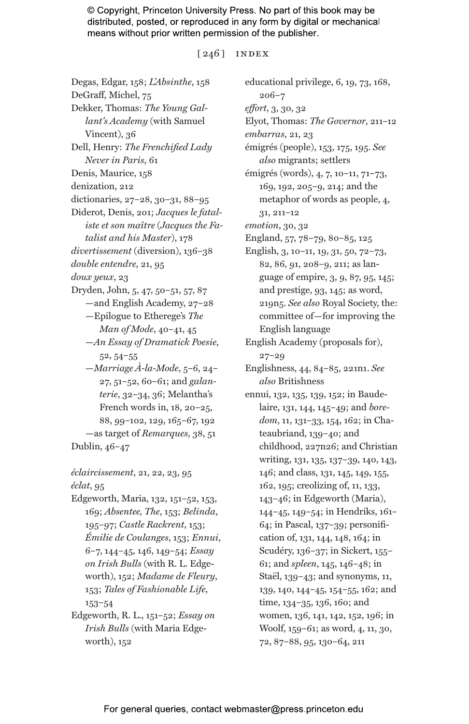[246] INDEX

Degas, Edgar, 158; *L'Absinthe*, 158 DeGraff, Michel, 75 Dekker, Thomas: *The Young Gallant's Academy* (with Samuel Vincent), 36 Dell, Henry: *The Frenchified Lady Never in Paris*, 61 Denis, Maurice, 158 denization, 212 dictionaries, 27–28, 30–31, 88–95 Diderot, Denis, 201; *Jacques le fataliste et son maître* (*Jacques the Fatalist and his Master*), 178 *divertissement* (diversion), 136–38 *double entendre*, 21, 95 *doux yeux*, 23 Dryden, John, 5, 47, 50–51, 57, 87 —and English Academy, 27–28 —Epilogue to Etherege's *The Man of Mode*, 40–41, 45 —*An Essay of Dramatick Poesie*, 52, 54–55 —*Marriage À-la-Mode*, 5–6, 24– 27, 51–52, 60–61; and *galanterie*, 32–34, 36; Melantha's French words in, 18, 20–25, 88, 99–102, 129, 165–67, 192 —as target of *Remarques*, 38, 51 Dublin, 46–47 *éclaircissement*, 21, 22, 23, 95 *éclat*, 95 Edgeworth, Maria, 132, 151–52, 153, 169; *Absentee, The*, 153; *Belinda*, 195–97; *Castle Rackrent*, 153; *Émilie de Coulanges*, 153; *Ennui*, 6–7, 144–45, 146, 149–54; *Essay on Irish Bulls* (with R. L. Edgeworth), 152; *Madame de Fleury*, 153; *Tales of Fashionable Life*,

Edgeworth, R. L., 151–52; *Essay on Irish Bulls* (with Maria Edgeworth), 152

153–54

educational privilege, 6, 19, 73, 168, 206–7 *effort*, 3, 30, 32 Elyot, Thomas: *The Governor*, 211–12 *embarras*, 21, 23 émigrés (people), 153, 175, 195. *See also* migrants; settlers émigrés (words), 4, 7, 10–11, 71–73, 169, 192, 205–9, 214; and the metaphor of words as people, 4, 31, 211–12 *emotion*, 30, 32 England, 57, 78–79, 80–85, 125 English, 3, 10–11, 19, 31, 50, 72–73, 82, 86, 91, 208–9, 211; as language of empire, 3, 9, 87, 95, 145; and prestige, 93, 145; as word, 219n5. *See also* Royal Society, the: committee of—for improving the English language English Academy (proposals for), 27–29

- Englishness, 44, 84–85, 221n1. *See also* Britishness
- ennui, 132, 135, 139, 152; in Baudelaire, 131, 144, 145–49; and *boredom*, 11, 131–33, 154, 162; in Chateaubriand, 139–40; and childhood, 227n26; and Christian writing, 131, 135, 137–39, 140, 143, 146; and class, 131, 145, 149, 155, 162, 195; creolizing of, 11, 133, 143–46; in Edgeworth (Maria), 144–45, 149–54; in Hendriks, 161– 64; in Pascal, 137–39; personification of, 131, 144, 148, 164; in Scudéry, 136–37; in Sickert, 155– 61; and *spleen*, 145, 146–48; in Staël, 139–43; and synonyms, 11, 139, 140, 144–45, 154–55, 162; and time, 134–35, 136, 160; and women, 136, 141, 142, 152, 196; in Woolf, 159–61; as word, 4, 11, 30, 72, 87–88, 95, 130–64, 211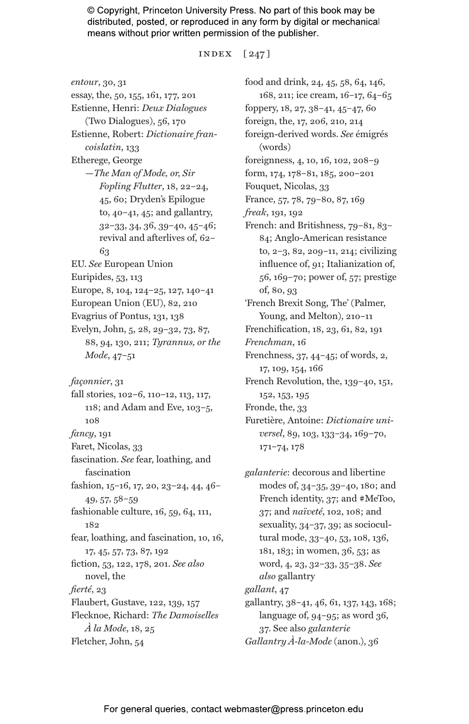Index [ 247 ]

*entour*, 30, 31 essay, the, 50, 155, 161, 177, 201 Estienne, Henri: *Deux Dialogues*  (Two Dialogues), 56, 170 Estienne, Robert: *Dictionaire francoislatin*, 133 Etherege, George —*The Man of Mode, or, Sir Fopling Flutter*, 18, 22–24, 45, 60; Dryden's Epilogue to,  $40-41$ ,  $45$ ; and gallantry, 32–33, 34, 36, 39–40, 45–46; revival and afterlives of, 62– 63 EU. *See* European Union Euripides, 53, 113 Europe, 8, 104, 124–25, 127, 140–41 European Union (EU), 82, 210 Evagrius of Pontus, 131, 138 Evelyn, John, 5, 28, 29–32, 73, 87, 88, 94, 130, 211; *Tyrannus, or the Mode*, 47–51 *façonnier*, 31 fall stories, 102–6, 110–12, 113, 117, 118; and Adam and Eve, 103–5, 108 *fancy*, 191 Faret, Nicolas, 33 fascination. *See* fear, loathing, and fascination fashion, 15–16, 17, 20, 23–24, 44, 46– 49, 57, 58–59 fashionable culture, 16, 59, 64, 111, 182 fear, loathing, and fascination, 10, 16, 17, 45, 57, 73, 87, 192 fiction, 53, 122, 178, 201. *See also* novel, the *fierté*, 23 Flaubert, Gustave, 122, 139, 157 Flecknoe, Richard: *The Damoiselles À la Mode*, 18, 25 Fletcher, John, 54

food and drink, 24, 45, 58, 64, 146, 168, 211; ice cream, 16–17, 64–65 foppery, 18, 27, 38–41, 45–47, 60 foreign, the, 17, 206, 210, 214 foreign-derived words. *See* émigrés (words) foreignness, 4, 10, 16, 102, 208–9 form, 174, 178–81, 185, 200–201 Fouquet, Nicolas, 33 France, 57, 78, 79–80, 87, 169 *freak*, 191, 192 French: and Britishness, 79–81, 83– 84; Anglo-American resistance to, 2–3, 82, 209–11, 214; civilizing influence of, 91; Italianization of, 56, 169–70; power of, 57; prestige of, 80, 93 'French Brexit Song, The' (Palmer, Young, and Melton), 210–11 Frenchification, 18, 23, 61, 82, 191 *Frenchman*, 16 Frenchness, 37, 44–45; of words, 2, 17, 109, 154, 166 French Revolution, the, 139–40, 151, 152, 153, 195 Fronde, the, 33 Furetière, Antoine: *Dictionaire universel*, 89, 103, 133–34, 169–70,

171–74, 178

*galanterie*: decorous and libertine modes of, 34–35, 39–40, 180; and French identity, 37; and #MeToo, 37; and *naïveté*, 102, 108; and sexuality, 34–37, 39; as sociocultural mode, 33–40, 53, 108, 136, 181, 183; in women, 36, 53; as word, 4, 23, 32–33, 35–38. *See also* gallantry *gallant*, 47 gallantry, 38–41, 46, 61, 137, 143, 168; language of,  $94-95$ ; as word  $36$ , 37. See also *galanterie Gallantry À-la-Mode* (anon.), 36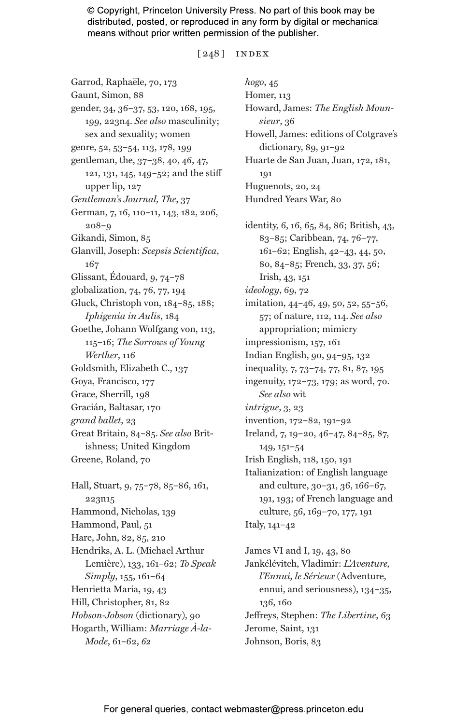#### [ 248 ] Index

Garrod, Raphaële, 70, 173 Gaunt, Simon, 88 gender, 34, 36–37, 53, 120, 168, 195, 199, 223n4. *See also* masculinity; sex and sexuality; women genre, 52, 53–54, 113, 178, 199 gentleman, the, 37–38, 40, 46, 47, 121, 131, 145, 149–52; and the stiff upper lip, 127 *Gentleman's Journal, The*, 37 German, 7, 16, 110–11, 143, 182, 206, 208–9 Gikandi, Simon, 85 Glanvill, Joseph: *Scepsis Scientifica*, 167 Glissant, Édouard, 9, 74–78 globalization, 74, 76, 77, 194 Gluck, Christoph von, 184–85, 188; *Iphigenia in Aulis*, 184 Goethe, Johann Wolfgang von, 113, 115–16; *The Sorrows of Young Werther*, 116 Goldsmith, Elizabeth C., 137 Goya, Francisco, 177 Grace, Sherrill, 198 Gracián, Baltasar, 170 *grand ballet*, 23 Great Britain, 84–85. *See also* Britishness; United Kingdom Greene, Roland, 70 Hall, Stuart, 9, 75–78, 85–86, 161, 223n15 Hammond, Nicholas, 139 Hammond, Paul, 51 Hare, John, 82, 85, 210 Hendriks, A. L. (Michael Arthur Lemière), 133, 161–62; *To Speak Simply*, 155, 161–64 Henrietta Maria, 19, 43

Hill, Christopher, 81, 82 *Hobson-Jobson* (dictionary), 90 Hogarth, William: *Marriage À-la-Mode*, 61–62, *62*

*hogo*, 45 Homer, 113 Howard, James: *The English Mounsieur*, 36 Howell, James: editions of Cotgrave's dictionary, 89, 91–92 Huarte de San Juan, Juan, 172, 181, 191 Huguenots, 20, 24 Hundred Years War, 80

identity, 6, 16, 65, 84, 86; British, 43, 83–85; Caribbean, 74, 76–77, 161–62; English, 42–43, 44, 50, 80, 84–85; French, 33, 37, 56; Irish, 43, 151 *ideology*, 69, 72 imitation, 44–46, 49, 50, 52, 55–56, 57; of nature, 112, 114. *See also* appropriation; mimicry impressionism, 157, 161 Indian English, 90, 94–95, 132 inequality, 7, 73–74, 77, 81, 87, 195 ingenuity, 172–73, 179; as word, 70. *See also* wit *intrigue*, 3, 23 invention, 172–82, 191–92 Ireland, 7, 19–20, 46–47, 84–85, 87, 149, 151–54 Irish English, 118, 150, 191 Italianization: of English language and culture, 30–31, 36, 166–67, 191, 193; of French language and culture, 56, 169–70, 177, 191 Italy, 141–42

James VI and I, 19, 43, 80 Jankélévitch, Vladimir: *L'Aventure, l'Ennui, le Sérieux* (Adventure, ennui, and seriousness), 134–35, 136, 160 Jeffreys, Stephen: *The Libertine*, 63 Jerome, Saint, 131 Johnson, Boris, 83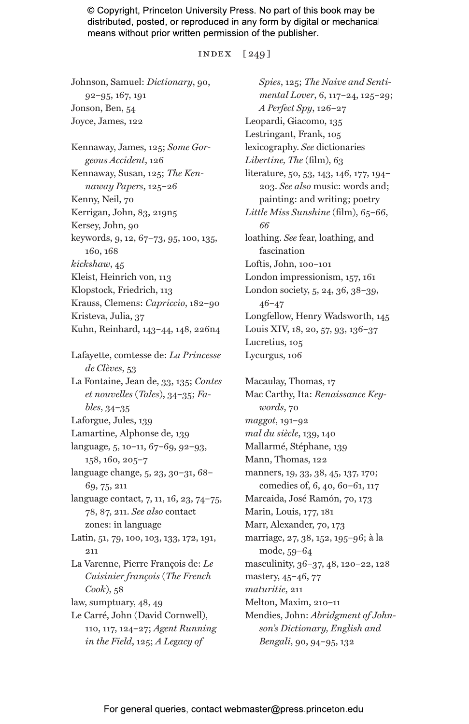Index [ 249 ]

Johnson, Samuel: *Dictionary*, 90, 92–95, 167, 191 Jonson, Ben, 54 Joyce, James, 122 Kennaway, James, 125; *Some Gorgeous Accident*, 126 Kennaway, Susan, 125; *The Kennaway Papers*, 125–26 Kenny, Neil, 70 Kerrigan, John, 83, 219n5 Kersey, John, 90 keywords, 9, 12, 67–73, 95, 100, 135, 160, 168 *kickshaw*, 45 Kleist, Heinrich von, 113 Klopstock, Friedrich, 113 Krauss, Clemens: *Capriccio*, 182–90 Kristeva, Julia, 37 Kuhn, Reinhard, 143–44, 148, 226n4 Lafayette, comtesse de: *La Princesse de Clèves*, 53 La Fontaine, Jean de, 33, 135; *Contes et nouvelles* (*Tales*), 34–35; *Fables*, 34–35 Laforgue, Jules, 139 Lamartine, Alphonse de, 139 language, 5, 10–11, 67–69, 92–93, 158, 160, 205–7 language change, 5, 23, 30–31, 68– 69, 75, 211 language contact, 7, 11, 16, 23, 74–75, 78, 87, 211. *See also* contact zones: in language Latin, 51, 79, 100, 103, 133, 172, 191, 211 La Varenne, Pierre François de: *Le Cuisinier françois* (*The French Cook*), 58 law, sumptuary, 48, 49 Le Carré, John (David Cornwell), 110, 117, 124–27; *Agent Running in the Field*, 125; *A Legacy of* 

*Spies*, 125; *The Naive and Sentimental Lover*, 6, 117–24, 125–29; *A Perfect Spy*, 126–27 Leopardi, Giacomo, 135 Lestringant, Frank, 105 lexicography. *See* dictionaries *Libertine, The* (film), 63 literature, 50, 53, 143, 146, 177, 194– 203. *See also* music: words and; painting: and writing; poetry *Little Miss Sunshine* (film), 65–66, *66* loathing. *See* fear, loathing, and fascination Loftis, John, 100–101 London impressionism, 157, 161 London society, 5, 24, 36, 38–39, 46–47 Longfellow, Henry Wadsworth, 145 Louis XIV, 18, 20, 57, 93, 136–37 Lucretius, 105 Lycurgus, 106 Macaulay, Thomas, 17

Mac Carthy, Ita: *Renaissance Keywords*, 70 *maggot*, 191–92 *mal du siècle*, 139, 140 Mallarmé, Stéphane, 139 Mann, Thomas, 122 manners, 19, 33, 38, 45, 137, 170; comedies of, 6, 40, 60–61, 117 Marcaida, José Ramón, 70, 173 Marin, Louis, 177, 181 Marr, Alexander, 70, 173 marriage, 27, 38, 152, 195–96; à la mode, 59–64 masculinity, 36–37, 48, 120–22, 128 mastery, 45–46, 77 *maturitie*, 211 Melton, Maxim, 210–11 Mendies, John: *Abridgment of Johnson's Dictionary, English and* 

*Bengali*, 90, 94–95, 132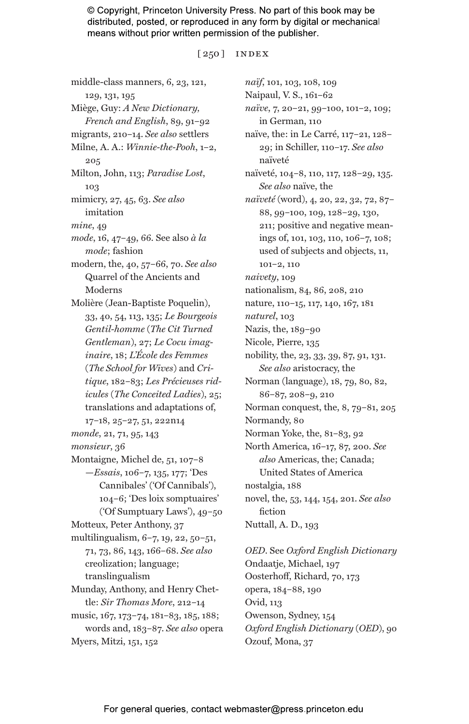[ 250 ] Index

*naïf*, 101, 103, 108, 109

middle-class manners, 6, 23, 121, 129, 131, 195 Miège, Guy: *A New Dictionary, French and English*, 89, 91–92 migrants, 210–14. *See also* settlers Milne, A. A.: *Winnie-the-Pooh*, 1–2, 205 Milton, John, 113; *Paradise Lost*, 103 mimicry, 27, 45, 63. *See also* imitation *mine*, 49 *mode*, 16, 47–49, 66. See also *à la mode*; fashion modern, the, 40, 57–66, 70. *See also*  Quarrel of the Ancients and Moderns Molière (Jean-Baptiste Poquelin), 33, 40, 54, 113, 135; *Le Bourgeois Gentil-homme* (*The Cit Turned Gentleman*), 27; *Le Cocu imaginaire*, 18; *L'École des Femmes*  (*The School for Wives*) and *Critique*, 182–83; *Les Précieuses ridicules* (*The Conceited Ladies*), 25; translations and adaptations of, 17–18, 25–27, 51, 222n14 *monde*, 21, 71, 95, 143 *monsieur*, 36 Montaigne, Michel de, 51, 107–8 —*Essais*, 106–7, 135, 177; 'Des Cannibales' ('Of Cannibals'), 104–6; 'Des loix somptuaires' ('Of Sumptuary Laws'), 49–50 Motteux, Peter Anthony, 37 multilingualism, 6–7, 19, 22, 50–51, 71, 73, 86, 143, 166–68. *See also* creolization; language; translingualism Munday, Anthony, and Henry Chettle: *Sir Thomas More*, 212–14 music, 167, 173–74, 181–83, 185, 188; words and, 183–87. *See also* opera Myers, Mitzi, 151, 152

Naipaul, V. S., 161–62 *naïve*, 7, 20–21, 99–100, 101–2, 109; in German, 110 naïve, the: in Le Carré, 117–21, 128– 29; in Schiller, 110–17. *See also* naïveté naïveté, 104–8, 110, 117, 128–29, 135. *See also* naïve, the *naïveté* (word), 4, 20, 22, 32, 72, 87– 88, 99–100, 109, 128–29, 130, 211; positive and negative meanings of, 101, 103, 110, 106–7, 108; used of subjects and objects, 11, 101–2, 110 *naivety*, 109 nationalism, 84, 86, 208, 210 nature, 110–15, 117, 140, 167, 181 *naturel*, 103 Nazis, the, 189–90 Nicole, Pierre, 135 nobility, the, 23, 33, 39, 87, 91, 131. *See also* aristocracy, the Norman (language), 18, 79, 80, 82, 86–87, 208–9, 210 Norman conquest, the, 8, 79–81, 205 Normandy, 80 Norman Yoke, the, 81–83, 92 North America, 16–17, 87, 200. *See also* Americas, the; Canada; United States of America nostalgia, 188 novel, the, 53, 144, 154, 201. *See also* fiction Nuttall, A. D., 193 *OED*. See *Oxford English Dictionary*

Ondaatje, Michael, 197 Oosterhoff, Richard, 70, 173 opera, 184–88, 190 Ovid, 113 Owenson, Sydney, 154 *Oxford English Dictionary* (*OED*), 90 Ozouf, Mona, 37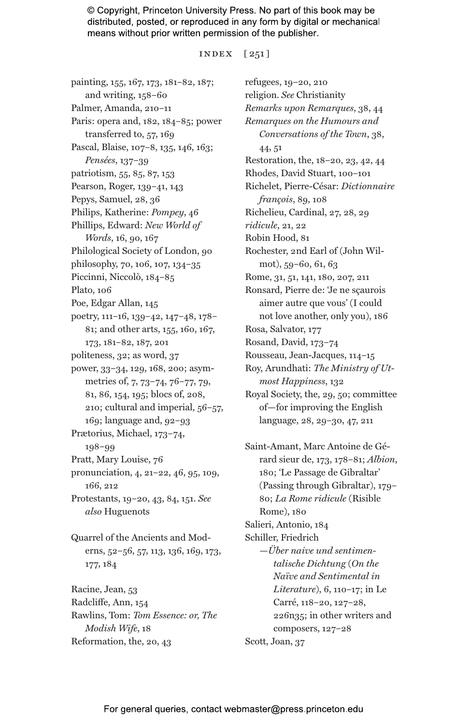Index [ 251 ]

painting, 155, 167, 173, 181–82, 187; and writing, 158–60 Palmer, Amanda, 210–11 Paris: opera and, 182, 184–85; power transferred to, 57, 169 Pascal, Blaise, 107–8, 135, 146, 163; *Pensées*, 137–39 patriotism, 55, 85, 87, 153 Pearson, Roger, 139–41, 143 Pepys, Samuel, 28, 36 Philips, Katherine: *Pompey*, 46 Phillips, Edward: *New World of Words*, 16, 90, 167 Philological Society of London, 90 philosophy, 70, 106, 107, 134–35 Piccinni, Niccolò, 184–85 Plato, 106 Poe, Edgar Allan, 145 poetry, 111–16, 139–42, 147–48, 178– 81; and other arts, 155, 160, 167, 173, 181–82, 187, 201 politeness, 32; as word, 37 power, 33–34, 129, 168, 200; asymmetries of, 7, 73–74, 76–77, 79, 81, 86, 154, 195; blocs of, 208, 210; cultural and imperial, 56–57, 169; language and, 92–93 Prætorius, Michael, 173–74, 198–99 Pratt, Mary Louise, 76 pronunciation, 4, 21–22, 46, 95, 109, 166, 212 Protestants, 19–20, 43, 84, 151. *See also* Huguenots Quarrel of the Ancients and Moderns, 52–56, 57, 113, 136, 169, 173, 177, 184 Racine, Jean, 53 Radcliffe, Ann, 154 Rawlins, Tom: *Tom Essence: or, The Modish Wife*, 18

Reformation, the, 20, 43

refugees, 19–20, 210 religion. *See* Christianity *Remarks upon Remarques*, 38, 44 *Remarques on the Humours and Conversations of the Town*, 38, 44, 51 Restoration, the, 18–20, 23, 42, 44 Rhodes, David Stuart, 100–101 Richelet, Pierre-César: *Dictionnaire françois*, 89, 108 Richelieu, Cardinal, 27, 28, 29 *ridicule*, 21, 22 Robin Hood, 81 Rochester, 2nd Earl of (John Wilmot), 59–60, 61, 63 Rome, 31, 51, 141, 180, 207, 211 Ronsard, Pierre de: 'Je ne sçaurois aimer autre que vous' (I could not love another, only you), 186 Rosa, Salvator, 177 Rosand, David, 173–74 Rousseau, Jean-Jacques, 114–15 Roy, Arundhati: *The Ministry of Utmost Happiness*, 132 Royal Society, the, 29, 50; committee of—for improving the English language, 28, 29–30, 47, 211 Saint-Amant, Marc Antoine de Gé-

rard sieur de, 173, 178–81; *Albion*, 180; 'Le Passage de Gibraltar' (Passing through Gibraltar), 179– 80; *La Rome ridicule* (Risible Rome), 180 Salieri, Antonio, 184 Schiller, Friedrich —*Über naive und sentimentalische Dichtung* (*On the Naïve and Sentimental in Literature*), 6, 110–17; in Le Carré, 118–20, 127–28, 226n35; in other writers and composers, 127–28 Scott, Joan, 37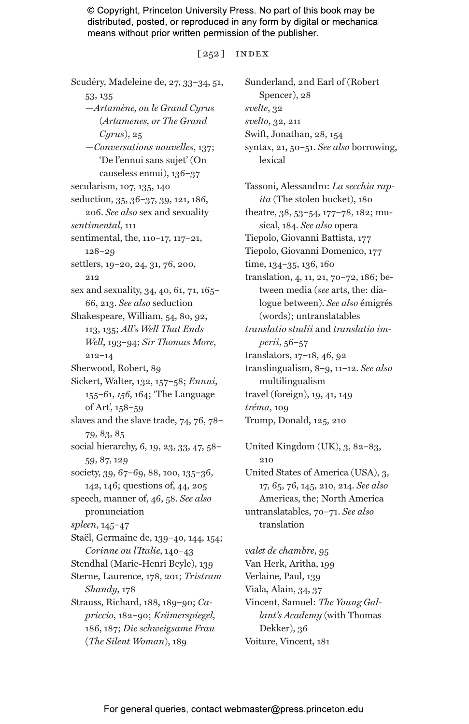[ 252 ] Index

Scudéry, Madeleine de, 27, 33–34, 51, 53, 135 —*Artamène, ou le Grand Cyrus*  (*Artamenes, or The Grand Cyrus*), 25 —*Conversations nouvelles*, 137; 'De l'ennui sans sujet' (On causeless ennui), 136–37 secularism, 107, 135, 140 seduction, 35, 36–37, 39, 121, 186, 206. *See also* sex and sexuality *sentimental*, 111 sentimental, the, 110–17, 117–21, 128–29 settlers, 19–20, 24, 31, 76, 200, 212 sex and sexuality, 34, 40, 61, 71, 165– 66, 213. *See also* seduction Shakespeare, William, 54, 80, 92, 113, 135; *All's Well That Ends Well*, 193–94; *Sir Thomas More*, 212–14 Sherwood, Robert, 89 Sickert, Walter, 132, 157–58; *Ennui*, 155–61, *156*, 164; 'The Language of Art', 158–59 slaves and the slave trade, 74, 76, 78– 79, 83, 85 social hierarchy, 6, 19, 23, 33, 47, 58– 59, 87, 129 society, 39, 67–69, 88, 100, 135–36, 142, 146; questions of, 44, 205 speech, manner of, 46, 58. *See also* pronunciation *spleen*, 145–47 Staël, Germaine de, 139–40, 144, 154; *Corinne ou l'Italie*, 140–43 Stendhal (Marie-Henri Beyle), 139 Sterne, Laurence, 178, 201; *Tristram Shandy*, 178 Strauss, Richard, 188, 189–90; *Capriccio*, 182–90; *Krämerspiegel*, 186, 187; *Die schweigsame Frau* (*The Silent Woman*), 189

Sunderland, 2nd Earl of (Robert Spencer), 28 *svelte*, 32 *svelto*, 32, 211 Swift, Jonathan, 28, 154 syntax, 21, 50–51. *See also* borrowing, lexical Tassoni, Alessandro: *La secchia rapita* (The stolen bucket), 180 theatre, 38, 53–54, 177–78, 182; musical, 184. *See also* opera Tiepolo, Giovanni Battista, 177 Tiepolo, Giovanni Domenico, 177 time, 134–35, 136, 160 translation, 4, 11, 21, 70–72, 186; between media (*see* arts, the: dialogue between). *See also* émigrés (words); untranslatables *translatio studii* and *translatio imperii*, 56–57 translators, 17–18, 46, 92 translingualism, 8–9, 11–12. *See also*  multilingualism travel (foreign), 19, 41, 149 *tréma*, 109 Trump, Donald, 125, 210 United Kingdom (UK), 3, 82–83, 210 United States of America (USA), 3,

17, 65, 76, 145, 210, 214. *See also* Americas, the; North America untranslatables, 70–71. *See also*  translation

*valet de chambre*, 95 Van Herk, Aritha, 199 Verlaine, Paul, 139 Viala, Alain, 34, 37 Vincent, Samuel: *The Young Gallant's Academy* (with Thomas Dekker), 36 Voiture, Vincent, 181